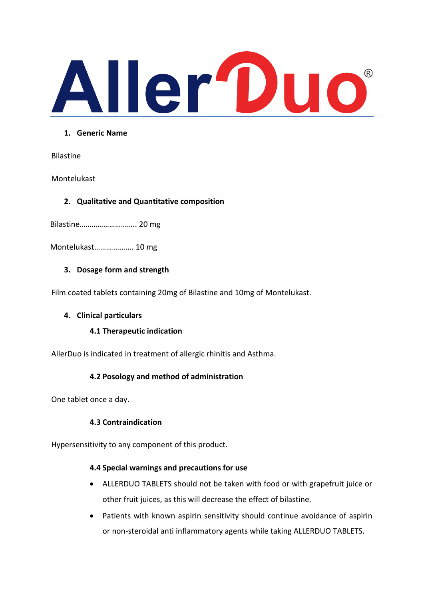

### **1. Generic Name**

Bilastine

Montelukast

# **2. Qualitative and Quantitative composition**

Bilastine……………………….. 20 mg

Montelukast……………….. 10 mg

# **3. Dosage form and strength**

Film coated tablets containing 20mg of Bilastine and 10mg of Montelukast.

### **4. Clinical particulars**

# **4.1 Therapeutic indication**

AllerDuo is indicated in treatment of allergic rhinitis and Asthma.

# **4.2 Posology and method of administration**

One tablet once a day.

# **4.3 Contraindication**

Hypersensitivity to any component of this product.

### **4.4 Special warnings and precautions for use**

- ALLERDUO TABLETS should not be taken with food or with grapefruit juice or other fruit juices, as this will decrease the effect of bilastine.
- Patients with known aspirin sensitivity should continue avoidance of aspirin or non-steroidal anti inflammatory agents while taking ALLERDUO TABLETS.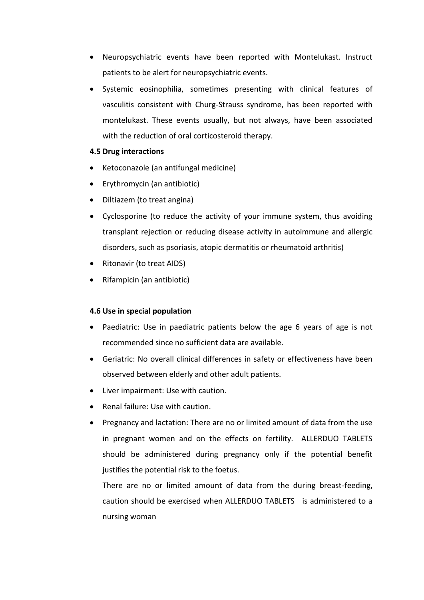- Neuropsychiatric events have been reported with Montelukast. Instruct patients to be alert for neuropsychiatric events.
- Systemic eosinophilia, sometimes presenting with clinical features of vasculitis consistent with Churg-Strauss syndrome, has been reported with montelukast. These events usually, but not always, have been associated with the reduction of oral corticosteroid therapy.

### **4.5 Drug interactions**

- Ketoconazole (an antifungal medicine)
- Erythromycin (an antibiotic)
- Diltiazem (to treat angina)
- Cyclosporine (to reduce the activity of your immune system, thus avoiding transplant rejection or reducing disease activity in autoimmune and allergic disorders, such as psoriasis, atopic dermatitis or rheumatoid arthritis)
- Ritonavir (to treat AIDS)
- Rifampicin (an antibiotic)

### **4.6 Use in special population**

- Paediatric: Use in paediatric patients below the age 6 years of age is not recommended since no sufficient data are available.
- Geriatric: No overall clinical differences in safety or effectiveness have been observed between elderly and other adult patients.
- Liver impairment: Use with caution.
- Renal failure: Use with caution.
- Pregnancy and lactation: There are no or limited amount of data from the use in pregnant women and on the effects on fertility. ALLERDUO TABLETS should be administered during pregnancy only if the potential benefit justifies the potential risk to the foetus.

There are no or limited amount of data from the during breast-feeding, caution should be exercised when ALLERDUO TABLETS is administered to a nursing woman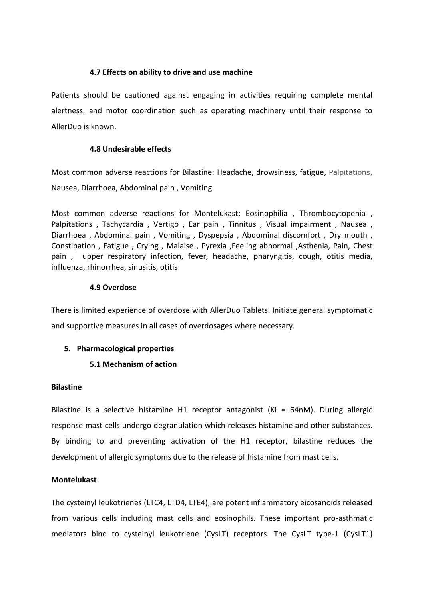# **4.7 Effects on ability to drive and use machine**

Patients should be cautioned against engaging in activities requiring complete mental alertness, and motor coordination such as operating machinery until their response to AllerDuo is known.

### **4.8 Undesirable effects**

Most common adverse reactions for Bilastine: Headache, drowsiness, fatigue, Palpitations, Nausea, Diarrhoea, Abdominal pain , Vomiting

Most common adverse reactions for Montelukast: Eosinophilia , Thrombocytopenia , Palpitations , Tachycardia , Vertigo , Ear pain , Tinnitus , Visual impairment , Nausea , Diarrhoea , Abdominal pain , Vomiting , Dyspepsia , Abdominal discomfort , Dry mouth , Constipation , Fatigue , Crying , Malaise , Pyrexia ,Feeling abnormal ,Asthenia, Pain, Chest pain , upper respiratory infection, fever, headache, pharyngitis, cough, otitis media, influenza, rhinorrhea, sinusitis, otitis

### **4.9 Overdose**

There is limited experience of overdose with AllerDuo Tablets. Initiate general symptomatic and supportive measures in all cases of overdosages where necessary.

# **5. Pharmacological properties**

# **5.1 Mechanism of action**

### **Bilastine**

Bilastine is a selective histamine H1 receptor antagonist (Ki = 64nM). During allergic response mast cells undergo degranulation which releases histamine and other substances. By binding to and preventing activation of the H1 receptor, bilastine reduces the development of allergic symptoms due to the release of histamine from mast cells.

### **Montelukast**

The cysteinyl leukotrienes (LTC4, LTD4, LTE4), are potent inflammatory eicosanoids released from various cells including mast cells and eosinophils. These important pro-asthmatic mediators bind to cysteinyl leukotriene (CysLT) receptors. The CysLT type-1 (CysLT1)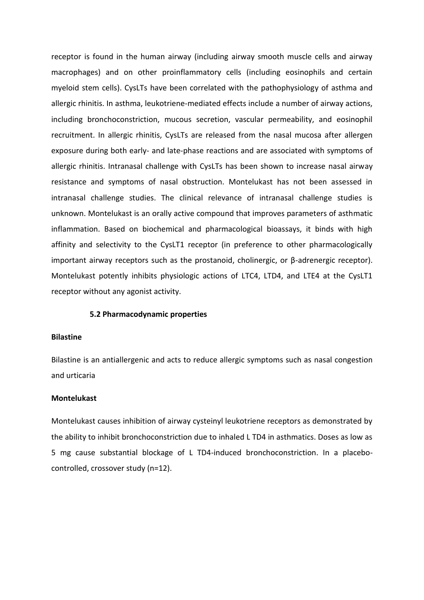receptor is found in the human airway (including airway smooth muscle cells and airway macrophages) and on other proinflammatory cells (including eosinophils and certain myeloid stem cells). CysLTs have been correlated with the pathophysiology of asthma and allergic rhinitis. In asthma, leukotriene-mediated effects include a number of airway actions, including bronchoconstriction, mucous secretion, vascular permeability, and eosinophil recruitment. In allergic rhinitis, CysLTs are released from the nasal mucosa after allergen exposure during both early- and late-phase reactions and are associated with symptoms of allergic rhinitis. Intranasal challenge with CysLTs has been shown to increase nasal airway resistance and symptoms of nasal obstruction. Montelukast has not been assessed in intranasal challenge studies. The clinical relevance of intranasal challenge studies is unknown. Montelukast is an orally active compound that improves parameters of asthmatic inflammation. Based on biochemical and pharmacological bioassays, it binds with high affinity and selectivity to the CysLT1 receptor (in preference to other pharmacologically important airway receptors such as the prostanoid, cholinergic, or  $\beta$ -adrenergic receptor). Montelukast potently inhibits physiologic actions of LTC4, LTD4, and LTE4 at the CysLT1 receptor without any agonist activity.

#### **5.2 Pharmacodynamic properties**

#### **Bilastine**

Bilastine is an antiallergenic and acts to reduce allergic symptoms such as nasal congestion and urticaria

### **Montelukast**

Montelukast causes inhibition of airway cysteinyl leukotriene receptors as demonstrated by the ability to inhibit bronchoconstriction due to inhaled L TD4 in asthmatics. Doses as low as 5 mg cause substantial blockage of L TD4-induced bronchoconstriction. In a placebocontrolled, crossover study (n=12).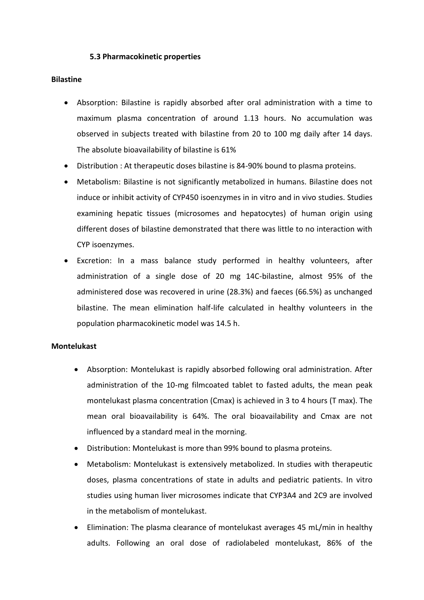### **5.3 Pharmacokinetic properties**

### **Bilastine**

- Absorption: Bilastine is rapidly absorbed after oral administration with a time to maximum plasma concentration of around 1.13 hours. No accumulation was observed in subjects treated with bilastine from 20 to 100 mg daily after 14 days. The absolute bioavailability of bilastine is 61%
- Distribution : At therapeutic doses bilastine is 84-90% bound to plasma proteins.
- Metabolism: Bilastine is not significantly metabolized in humans. Bilastine does not induce or inhibit activity of CYP450 isoenzymes in in vitro and in vivo studies. Studies examining hepatic tissues (microsomes and hepatocytes) of human origin using different doses of bilastine demonstrated that there was little to no interaction with CYP isoenzymes.
- Excretion: In a mass balance study performed in healthy volunteers, after administration of a single dose of 20 mg 14C-bilastine, almost 95% of the administered dose was recovered in urine (28.3%) and faeces (66.5%) as unchanged bilastine. The mean elimination half-life calculated in healthy volunteers in the population pharmacokinetic model was 14.5 h.

### **Montelukast**

- Absorption: Montelukast is rapidly absorbed following oral administration. After administration of the 10-mg filmcoated tablet to fasted adults, the mean peak montelukast plasma concentration (Cmax) is achieved in 3 to 4 hours (T max). The mean oral bioavailability is 64%. The oral bioavailability and Cmax are not influenced by a standard meal in the morning.
- Distribution: Montelukast is more than 99% bound to plasma proteins.
- Metabolism: Montelukast is extensively metabolized. In studies with therapeutic doses, plasma concentrations of state in adults and pediatric patients. In vitro studies using human liver microsomes indicate that CYP3A4 and 2C9 are involved in the metabolism of montelukast.
- Elimination: The plasma clearance of montelukast averages 45 mL/min in healthy adults. Following an oral dose of radiolabeled montelukast, 86% of the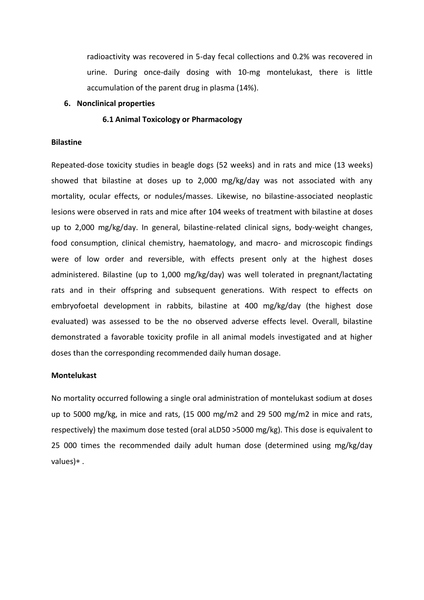radioactivity was recovered in 5-day fecal collections and 0.2% was recovered in urine. During once-daily dosing with 10-mg montelukast, there is little accumulation of the parent drug in plasma (14%).

#### **6. Nonclinical properties**

### **6.1 Animal Toxicology or Pharmacology**

#### **Bilastine**

Repeated-dose toxicity studies in beagle dogs (52 weeks) and in rats and mice (13 weeks) showed that bilastine at doses up to 2,000 mg/kg/day was not associated with any mortality, ocular effects, or nodules/masses. Likewise, no bilastine-associated neoplastic lesions were observed in rats and mice after 104 weeks of treatment with bilastine at doses up to 2,000 mg/kg/day. In general, bilastine-related clinical signs, body-weight changes, food consumption, clinical chemistry, haematology, and macro- and microscopic findings were of low order and reversible, with effects present only at the highest doses administered. Bilastine (up to 1,000 mg/kg/day) was well tolerated in pregnant/lactating rats and in their offspring and subsequent generations. With respect to effects on embryofoetal development in rabbits, bilastine at 400 mg/kg/day (the highest dose evaluated) was assessed to be the no observed adverse effects level. Overall, bilastine demonstrated a favorable toxicity profile in all animal models investigated and at higher doses than the corresponding recommended daily human dosage.

#### **Montelukast**

No mortality occurred following a single oral administration of montelukast sodium at doses up to 5000 mg/kg, in mice and rats, (15 000 mg/m2 and 29 500 mg/m2 in mice and rats, respectively) the maximum dose tested (oral aLD50 >5000 mg/kg). This dose is equivalent to 25 000 times the recommended daily adult human dose (determined using mg/kg/day values) $*$ .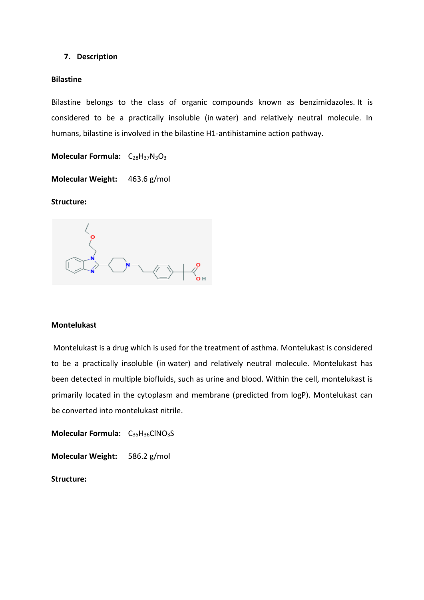### **7. Description**

#### **Bilastine**

Bilastine belongs to the class of organic compounds known as benzimidazoles. It is considered to be a practically insoluble (in water) and relatively neutral molecule. In humans, bilastine is involved in the bilastine H1-antihistamine action pathway.

Molecular Formula: C<sub>28</sub>H<sub>37</sub>N<sub>3</sub>O<sub>3</sub>

**Molecular Weight:** 463.6 g/mol

### **Structure:**

### **Montelukast**

Montelukast is a drug which is used for the treatment of asthma. Montelukast is considered to be a practically insoluble (in water) and relatively neutral molecule. Montelukast has been detected in multiple biofluids, such as urine and blood. Within the cell, montelukast is primarily located in the cytoplasm and membrane (predicted from logP). Montelukast can be converted into montelukast nitrile.

**Molecular Formula:** C<sub>35</sub>H<sub>36</sub>ClNO<sub>3</sub>S

**Molecular Weight:** 586.2 g/mol

**Structure:**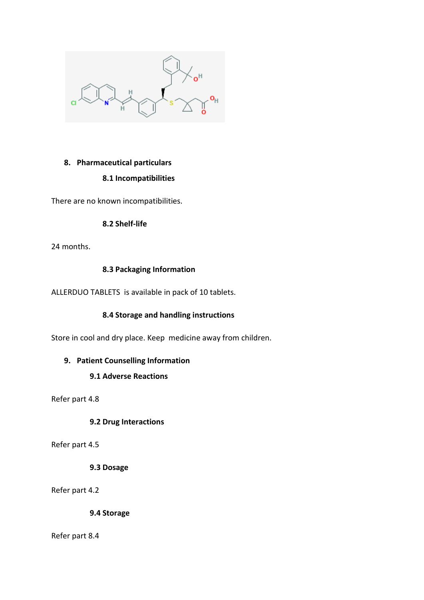

# **8. Pharmaceutical particulars**

# **8.1 Incompatibilities**

There are no known incompatibilities.

### **8.2 Shelf-life**

24 months.

# **8.3 Packaging Information**

ALLERDUO TABLETS is available in pack of 10 tablets.

# **8.4 Storage and handling instructions**

Store in cool and dry place. Keep medicine away from children.

# **9. Patient Counselling Information**

# **9.1 Adverse Reactions**

Refer part 4.8

# **9.2 Drug Interactions**

Refer part 4.5

### **9.3 Dosage**

Refer part 4.2

**9.4 Storage**

Refer part 8.4